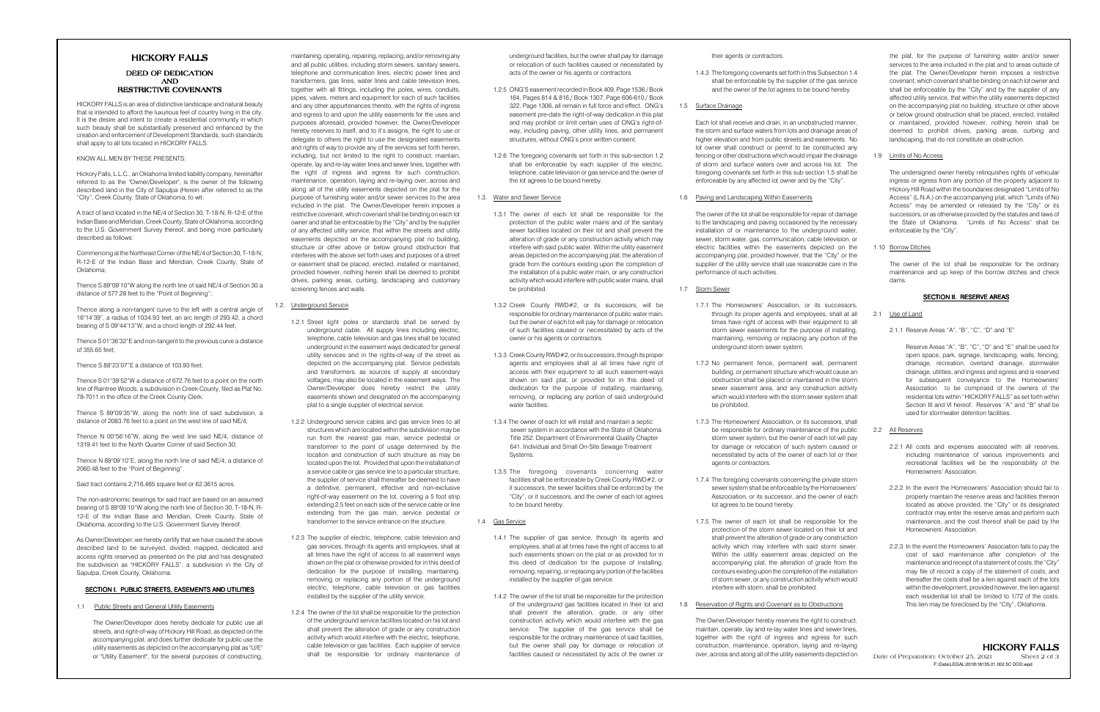# HICKORY FALLS

HICKORY FALLS is an area of distinctive landscape and natural beauty that is intended to afford the luxurious feel of country living in the city. It is the desire and intent to create a residential community in which such beauty shall be substantially preserved and enhanced by the creation and enforcement of Development Standards, such standardsshall apply to all lots located in HICKORY FALLS.

## DEED OF DEDICATIONANDRESTRICTIVE COVENANTS

## .KNOW ALL MEN BY THESE PRESENTS:

Hickory Falls, L.L.C., an Oklahoma limited liability company, hereinafter referred to as the "Owner/Developer", is the owner of the following described land in the City of Sapulpa (Herein after referred to as the"City", Creek County, State of Oklahoma, to wit:

A tract of land located in the NE/4 of Section 30, T-18-N, R-12-E of the Indian Base and Meridian, Creek County, State of Oklahoma, according to the U.S. Government Survey thereof, and being more particularlydescribed as follows:

Commencing at the Northeast Corner of the NE/4 of Section 30, T-18-N, R-12-E of the Indian Base and Meridian, Creek County, State ofOklahoma;

Thence S 89°09'10"W along the north line of said NE/4 of Section 30 adistance of 577.28 feet to the "Point of Beginning";

Thence along a non-tangent curve to the left with a central angle of 16°14'39", a radius of 1034.93 feet, an arc length of 293.42, a chordbearing of S 09°44'13"W, and a chord length of 292.44 feet;

Thence S 01°36'32"E and non-tangent to the previous curve a distanceof 355.65 feet;

Thence S 88°23'07"E a distance of 103.93 feet;

Thence S 01°39'52"W a distance of 672.76 feet to a point on the north line of Raintree Woods, a subdivision in Creek County, filed as Plat No.78-7011 in the office of the Creek County Clerk.

Thence S 89°09'35"W, along the north line of said subdivision, adistance of 2083.76 feet to a point on the west line of said NE/4;

Thence N 00°56'16"W, along the west line said NE/4, distance of1319.41 feet to the North Quarter Corner of said Section 30;

Thence N 89°09'10"E, along the north line of said NE/4, a distance of2060.48 feet to the "Point of Beginning".

Said tract contains 2,716,465 square feet or 62.3615 acres.

The non-astronomic bearings for said tract are based on an assumed bearing of S 89°09'10"W along the north line of Section 30, T-18-N, R-12-E of the Indian Base and Meridian, Creek County, State ofOklahoma, according to the U.S. Government Survey thereof.

As Owner/Developer, we hereby certify that we have caused the above described land to be surveyed, divided, mapped, dedicated and access rights reserved as presented on the plat and has designated the subdivision as "HICKORY FALLS", a subdivision in the City ofSapulpa, Creek County, Oklahoma.

## SECTION I. PUBLIC STREETS, EASEMENTS AND UTILITIES

1.1 Public Streets and General Utility Easements

The Owner/Developer does hereby dedicate for public use all streets, and right-of-way of Hickory Hill Road, as depicted on the accompanying plat, and does further dedicate for public use the utility easements as depicted on the accompanying plat as "U/E"or "Utility Easement", for the several purposes of constructing,

maintaining, operating, repairing, replacing, and/or removing any and all public utilities, including storm sewers, sanitary sewers, telephone and communication lines, electric power lines and transformers, gas lines, water lines and cable television lines, together with all fittings, including the poles, wires, conduits, pipes, valves, meters and equipment for each of such facilities and any other appurtenances thereto, with the rights of ingress and egress to and upon the utility easements for the uses and purposes aforesaid, provided however, the Owner/Developer hereby reserves to itself, and to it's assigns, the right to use or delegate to others the right to use the designated easements and rights of way to provide any of the services set forth herein, including, but not limited to the right to construct, maintain, operate, lay and re-lay water lines and sewer lines, together with the right of ingress and egress for such construction, maintenance, operation, laying and re-laying over, across and along all of the utility easements depicted on the plat for the purpose of furnishing water and/or sewer services to the area included in the plat. The Owner/Developer herein imposes a restrictive covenant, which covenant shall be binding on each lot owner and shall be enforceable by the "City" and by the supplier of any affected utility service, that within the streets and utility easements depicted on the accompanying plat no building, structure or other above or below ground obstruction that interferes with the above set forth uses and purposes of a street or easement shall be placed, erected, installed or maintained, provided however, nothing herein shall be deemed to prohibit drives, parking areas, curbing, landscaping and customaryscreening fences and walls.

## 1.2. Underground Service

- 1.2.1 Street light poles or standards shall be served by underground cable. All supply lines including electric, telephone, cable television and gas lines shall be located underground in the easement ways dedicated for general utility services and in the rights-of-way of the street as depicted on the accompanying plat. Service pedestals and transformers, as sources of supply at secondary voltages, may also be located in the easement ways. The Owner/Developer does hereby restrict the utility easements shown and designated on the accompanyingplat to a single supplier of electrical service.
- 1.2.2 Underground service cables and gas service lines to all structures which are located within the subdivision may be run from the nearest gas main, service pedestal or transformer to the point of usage determined by the location and construction of such structure as may be located upon the lot. Provided that upon the installation of a service cable or gas service line to a particular structure, the supplier of service shall thereafter be deemed to have a definitive, permanent, effective and non-exclusive right-of-way easement on the lot, covering a 5 foot strip extending 2.5 feet on each side of the service cable or line extending from the gas main, service pedestal ortransformer to the service entrance on the structure.
- 1.2.3 The supplier of electric, telephone, cable television and gas services, through its agents and employees, shall at all times have the right of access to all easement ways shown on the plat or otherwise provided for in this deed of dedication for the purpose of installing, maintaining, removing or replacing any portion of the underground electric, telephone, cable television or gas facilitiesinstalled by the supplier of the utility service.
- 1.2.4 The owner of the lot shall be responsible for the protection of the underground service facilities located on his lot and shall prevent the alteration of grade or any construction activity which would interfere with the electric, telephone, cable television or gas facilities. Each supplier of serviceshall be responsible for ordinary maintenance of

underground facilities, but the owner shall pay for damage or relocation of such facilities caused or necessitated byacts of the owner or his agents or contractors.

- 1.2.5 ONG'S easement recorded in Book 409, Page 1536,/ Book 164, Pages 814 & 816,/ Book 1307, Page 606-610,/ Book 322, Page 1306, all remain in full force and effect. ONG's easement pre-date the right-of-way dedication in this plat and may prohibit or limit certain uses of ONG's right-ofway, including paving, other utility lines, and permanentstructures, without ONG's prior written consent.
- 1.2.6 The foregoing covenants set forth in this sub-section 1.2 shall be enforceable by each supplier of the electric, telephone, cable television or gas service and the owner ofthe lot agrees to be bound hereby.

# 1.3. Water and Sewer Service

- 1.3.1 The owner of each lot shall be responsible for the protection of the public water mains and of the sanitary sewer facilities located on their lot and shall prevent the alteration of grade or any construction activity which may interfere with said public water. Within the utility easement areas depicted on the accompanying plat, the alteration of grade from the contours existing upon the completion of the installation of a public water main, or any construction activity which would interfere with public water mains, shall be prohibited.
- 1.3.2 Creek County RWD#2, or its successors, will be responsible for ordinary maintenance of public water main, but the owner of each lot will pay for damage or relocation of such facilities caused or necessitated by acts of theowner or his agents or contractors.
- 1.3.3 Creek County RWD#2, or its successors, through its proper agents and employees shall at all times have right of access with their equipment to all such easement-ways shown on said plat, or provided for in this deed of dedication for the purpose of installing, maintaining, removing, or replacing any portion of said undergroundwater facilities.
- 1.3.4 The owner of each lot will install and maintain a septic sewer system in accordance with the State of Oklahoma Title 252. Department of Environmental Quality Chapter 641. Individual and Small On-Site Sewage Treatment Systems.
- 1.3.5 The foregoing covenants concerning water facilities shall be enforceable by Creek County RWD#2, or it successors, the sewer facilities shall be enforced by the "City", or it successors, and the owner of each lot agreesto be bound hereby.

## 1.4 Gas Service

- 1.4.1 The supplier of gas service, through its agents and employees, shall at all times have the right of access to all such easements shown on the plat or as provided for in this deed of dedication for the purpose of installing, removing, repairing, or replacing any portion of the facilitiesinstalled by the supplier of gas service.
- 1.4.2 The owner of the lot shall be responsible for the protection of the underground gas facilities located in their lot and shall prevent the alteration, grade, or any other construction activity which would interfere with the gas service. The supplier of the gas service shall be responsible for the ordinary maintenance of said facilities, but the owner shall pay for damage or relocation offacilities caused or necessitated by acts of the owner or

their agents or contractors.

1.4.3 The foregoing covenants set forth in this Subsection 1.4 shall be enforceable by the supplier of the gas serviceand the owner of the lot agrees to be bound hereby.

# 1.5 Surface Drainage

Each lot shall receive and drain, in an unobstructed manner, the storm and surface waters from lots and drainage areas of higher elevation and from public streets and easements. No lot owner shall construct or permit to be constructed any fencing or other obstructions which would impair the drainage of storm and surface waters over and across his lot. The foregoing covenants set forth in this sub section 1.5 shall beenforceable by any affected lot owner and by the "City".

# 1.6 Paving and Landscaping Within Easements

The owner of the lot shall be responsible for repair of damage to the landscaping and paving occasioned by the necessary installation of or maintenance to the underground water, sewer, storm water, gas, communication, cable television, or electric facilities within the easements depicted on the accompanying plat, provided however, that the "City" or the supplier of the utility service shall use reasonable care in theperformance of such activities.

### 1.7 Storm Sewer

- 1.7.1 The Homeowners' Association, or its successors, through its proper agents and employees, shall at all times have right of access with their equipment to all storm sewer easements for the purpose of installing, maintaining, removing or replacing any portion of theunderground storm sewer system.
- 1.7.2 No permanent fence, permanent wall, permanent building, or permanent structure which would cause an obstruction shall be placed or maintained in the storm sewer easement area, and any construction activity which would interfere with the storm sewer system shall be prohibited.
- 1.7.3 The Homeowners' Association, or its successors, shall be responsible for ordinary maintenance of the public storm sewer system, but the owner of each lot will pay for damage or relocation of such system caused or necessitated by acts of the owner of each lot or theiragents or contractors.
- 1.7.4 The foregoing covenants concerning the private storm sewer system shall be enforceable by the Homeowners' Asszociation, or its successor, and the owner of eachlot agrees to be bound hereby.
- 1.7.5 The owner of each lot shall be responsible for the protection of the storm sewer located on their lot and shall prevent the alteration of grade or any construction activity which may interfere with said storm sewer. Within the utility easement areas depicted on the accompanying plat, the alteration of grade from the contours existing upon the completion of the installation of storm sewer, or any construction activity which wouldinterfere with storm, shall be prohibited.
- 1.8 Reservation of Rights and Covenant as to Obstructions

The Owner/Developer hereby reserves the right to construct, maintain, operate, lay and re-lay water lines and sewer lines, together with the right of ingress and egress for such construction, maintenance, operation, laying and re-layingover, across and along all of the utility easements depicted on

the plat, for the purpose of furnishing water and/or sewer services to the area included in the plat and to areas outside of the plat. The Owner/Developer herein imposes a restrictive covenant, which covenant shall be binding on each lot owner and shall be enforceable by the "City" and by the supplier of any affected utility service, that within the utility easements depicted on the accompanying plat no building, structure or other above or below ground obstruction shall be placed, erected, installed or maintained, provided however, nothing herein shall be deemed to prohibit drives, parking areas, curbing andlandscaping, that do not constitute an obstruction.

1.9 Limits of No Access

The undersigned owner hereby relinquishes rights of vehicular ingress or egress from any portion of the property adjacent to Hickory Hill Road within the boundaries designated "Limits of No Access" (L.N.A.) on the accompanying plat, which "Limits of No Access" may be amended or released by the "City" or its successors, or as otherwise provided by the statutes and laws of the State of Oklahoma. "Limits of No Access" shall beenforceable by the "City".

1.10 Borrow Ditches

The owner of the lot shall be responsible for the ordinary maintenance and up keep of the borrow ditches and check dams.

# SECTION II. RESERVE AREAS

## 2.1 Use of Land

2.1.1 Reserve Areas "A", "B", "C", "D" and "E"

Reserve Areas "A", "B", "C", "D" and "E" shall be used for open space, park, signage, landscaping, walls, fencing, drainage, recreation, overland drainage, stormwater drainage, utilities, and ingress and egress and is reserved for subsequent conveyance to the Homeowners'Association to be comprised of the owners of the residential lots within "HICKORY FALLS" as set forth within Section III and VI hereof. Reserves "A" and "B" shall beused for stormwater detention facilities.

# 2.2 All Reserves

- 2.2.1 All costs and expenses associated with all reserves, including maintenance of various improvements and recreational facilities will be the responsibility of theHomeowners' Association.
- 2.2.2 In the event the Homeowners' Association should fail to properly maintain the reserve areas and facilities thereon located as above provided, the "City" or its designated contractor may enter the reserve areas and perform such maintenance, and the cost thereof shall be paid by theHomeowners' Association.
- 2.2.3 In the event the Homeowners' Association fails to pay the cost of said maintenance after completion of the maintenance and receipt of a statement of costs, the "City" may file of record a copy of the statement of costs, and thereafter the costs shall be a lien against each of the lots within the development, provided however, the lien against each residential lot shall be limited to 1/72 of the costs. This lien may be foreclosed by the "City", Oklahoma.

HICKORY FALLSSheet 2 of 3 Date of Preparation: October 25, 2021 F:\Data\LEGAL\2018\18135.01.002 5C DOD.wpd